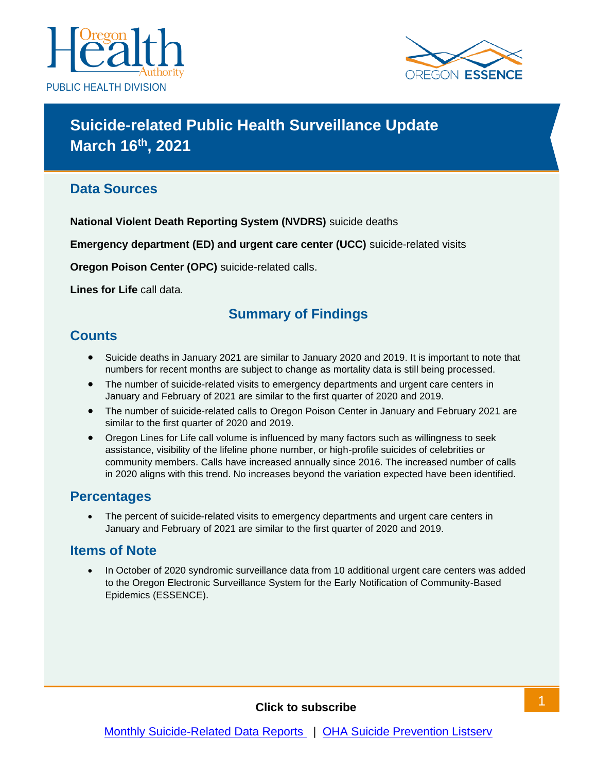



# **Suicide-related Public Health Surveillance Update March 16 th, 2021**

#### **Data Sources**

**National Violent Death Reporting System (NVDRS)** suicide deaths

**Emergency department (ED) and urgent care center (UCC)** suicide-related visits

**Oregon Poison Center (OPC)** suicide-related calls.

**Lines for Life** call data.

### **Summary of Findings**

#### **Counts**

- Suicide deaths in January 2021 are similar to January 2020 and 2019. It is important to note that numbers for recent months are subject to change as mortality data is still being processed.
- The number of suicide-related visits to emergency departments and urgent care centers in January and February of 2021 are similar to the first quarter of 2020 and 2019.
- The number of suicide-related calls to Oregon Poison Center in January and February 2021 are similar to the first quarter of 2020 and 2019.
- Oregon Lines for Life call volume is influenced by many factors such as willingness to seek assistance, visibility of the lifeline phone number, or high-profile suicides of celebrities or community members. Calls have increased annually since 2016. The increased number of calls in 2020 aligns with this trend. No increases beyond the variation expected have been identified.

#### **Percentages**

The percent of suicide-related visits to emergency departments and urgent care centers in January and February of 2021 are similar to the first quarter of 2020 and 2019.

#### **Items of Note**

• In October of 2020 syndromic surveillance data from 10 additional urgent care centers was added to the Oregon Electronic Surveillance System for the Early Notification of Community-Based Epidemics (ESSENCE).

#### **Click to subscribe**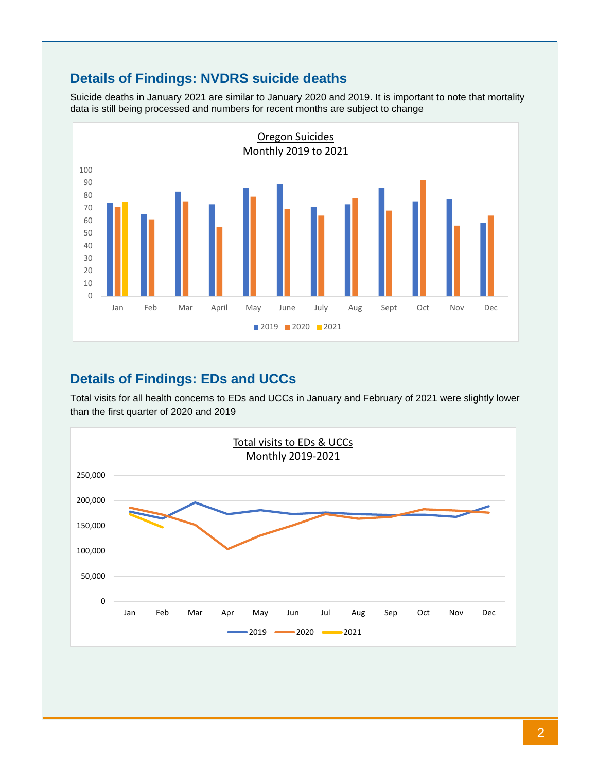# **Details of Findings: NVDRS suicide deaths**

Suicide deaths in January 2021 are similar to January 2020 and 2019. It is important to note that mortality data is still being processed and numbers for recent months are subject to change



### **Details of Findings: EDs and UCCs**

Total visits for all health concerns to EDs and UCCs in January and February of 2021 were slightly lower than the first quarter of 2020 and 2019

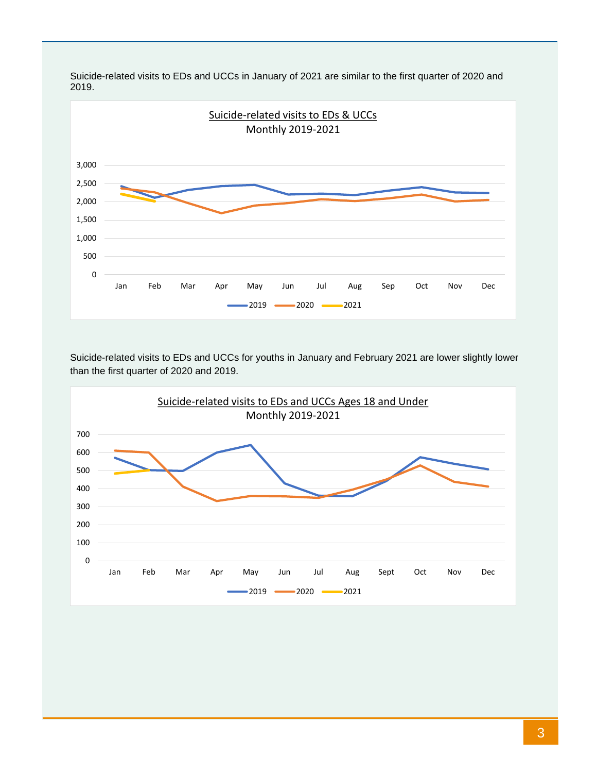

Suicide-related visits to EDs and UCCs in January of 2021 are similar to the first quarter of 2020 and 2019.

Suicide-related visits to EDs and UCCs for youths in January and February 2021 are lower slightly lower than the first quarter of 2020 and 2019.

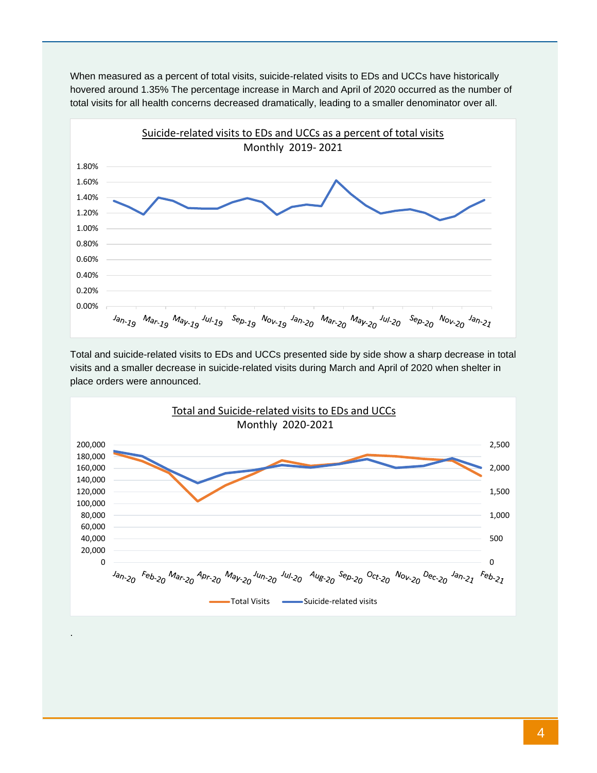

When measured as a percent of total visits, suicide-related visits to EDs and UCCs have historically hovered around 1.35% The percentage increase in March and April of 2020 occurred as the number of total visits for all health concerns decreased dramatically, leading to a smaller denominator over all.

Total and suicide-related visits to EDs and UCCs presented side by side show a sharp decrease in total visits and a smaller decrease in suicide-related visits during March and April of 2020 when shelter in place orders were announced.



.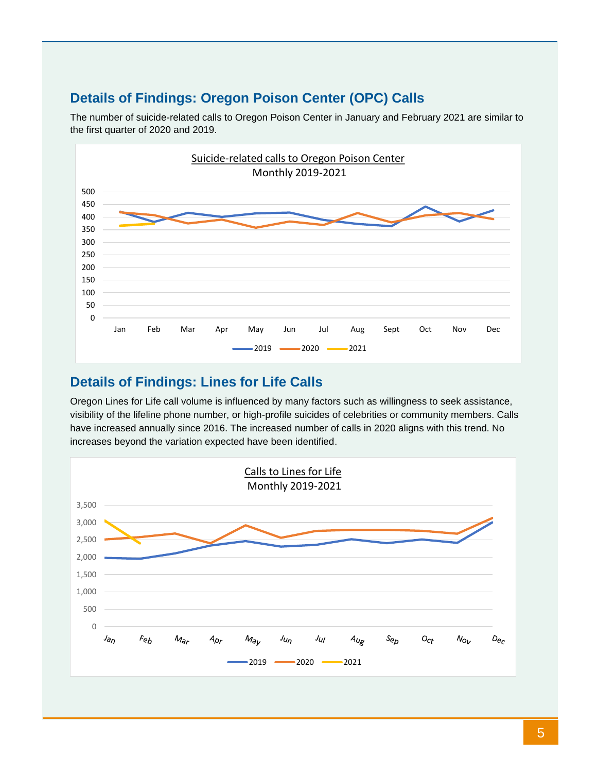### **Details of Findings: Oregon Poison Center (OPC) Calls**



The number of suicide-related calls to Oregon Poison Center in January and February 2021 are similar to the first quarter of 2020 and 2019.

#### **Details of Findings: Lines for Life Calls**

Oregon Lines for Life call volume is influenced by many factors such as willingness to seek assistance, visibility of the lifeline phone number, or high-profile suicides of celebrities or community members. Calls have increased annually since 2016. The increased number of calls in 2020 aligns with this trend. No increases beyond the variation expected have been identified.